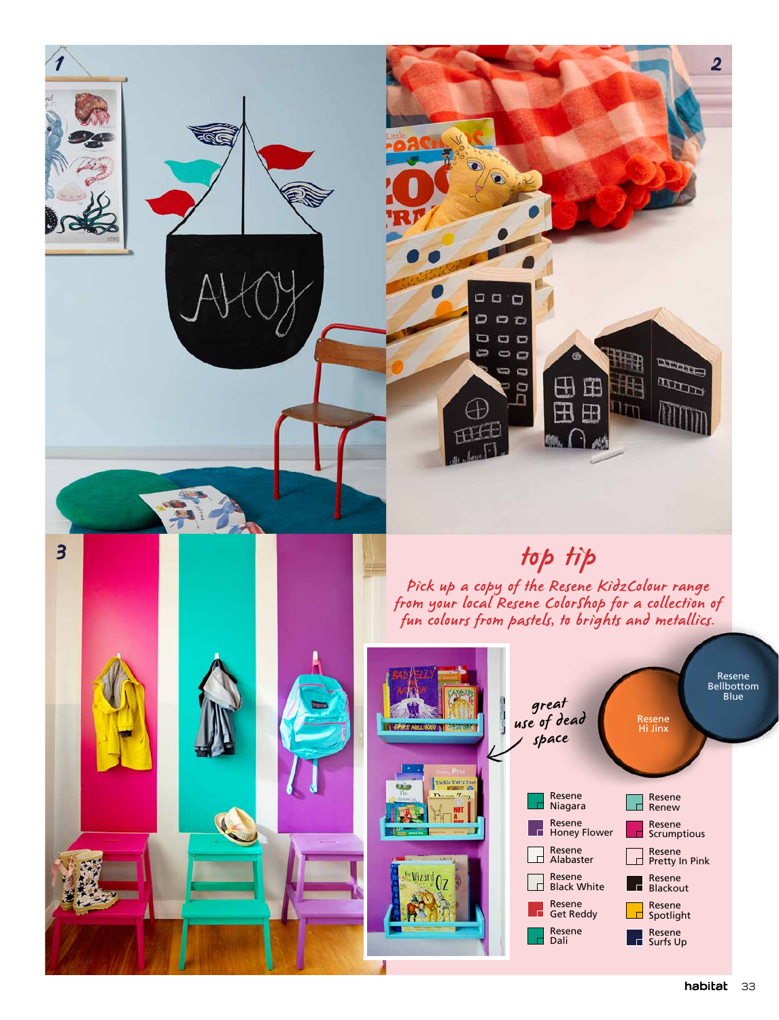

Resene Spotlight

 $\mathsf{d}$ 

 $\Box$  $\overline{\phantom{a}}$ 

Resene Get Reddy

Resene Dali

Resene Surfs Up